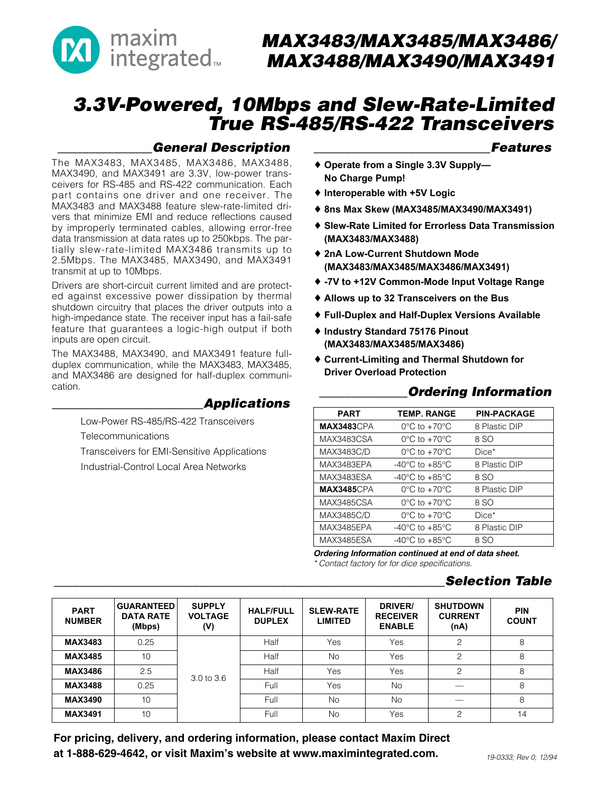

# MAX3483/MAX3485/MAX3486/ MAX3488/MAX3490/MAX3491

# 3.3V-Powered, 10Mbps and Slew-Rate-Limited True RS-485/RS-422 Transceivers

## \_\_\_\_\_\_\_\_\_\_\_\_\_\_\_General Description

The MAX3483, MAX3485, MAX3486, MAX3488, MAX3490, and MAX3491 are 3.3V, low-power transceivers for RS-485 and RS-422 communication. Each part contains one driver and one receiver. The MAX3483 and MAX3488 feature slew-rate-limited drivers that minimize EMI and reduce reflections caused by improperly terminated cables, allowing error-free data transmission at data rates up to 250kbps. The partially slew-rate-limited MAX3486 transmits up to 2.5Mbps. The MAX3485, MAX3490, and MAX3491 transmit at up to 10Mbps.

Drivers are short-circuit current limited and are protected against excessive power dissipation by thermal shutdown circuitry that places the driver outputs into a high-impedance state. The receiver input has a fail-safe feature that guarantees a logic-high output if both inputs are open circuit.

The MAX3488, MAX3490, and MAX3491 feature fullduplex communication, while the MAX3483, MAX3485, and MAX3486 are designed for half-duplex communication.

#### \_\_\_\_\_\_\_\_\_\_\_\_\_\_\_\_\_\_\_\_\_\_\_\_Applications

Low-Power RS-485/RS-422 Transceivers

**Telecommunications** 

Transceivers for EMI-Sensitive Applications Industrial-Control Local Area Networks

#### **Features**

**Operate from a Single 3.3V Supply— No Charge Pump!**

**Interoperable with +5V Logic**

**8ns Max Skew (MAX3485/MAX3490/MAX3491)**

**Slew-Rate Limited for Errorless Data Transmission (MAX3483/MAX3488)** 

**2nA Low-Current Shutdown Mode (MAX3483/MAX3485/MAX3486/MAX3491)**

**-7V to +12V Common-Mode Input Voltage Range**

**Allows up to 32 Transceivers on the Bus**

**Full-Duplex and Half-Duplex Versions Available**

**Industry Standard 75176 Pinout (MAX3483/MAX3485/MAX3486)**

**Current-Limiting and Thermal Shutdown for Driver Overload Protection**

### **Ordering Information**

| <b>PART</b>        | <b>TEMP. RANGE</b>                 | <b>PIN-PACKAGE</b> |
|--------------------|------------------------------------|--------------------|
| <b>MAX3483</b> CPA | $0^{\circ}$ C to $+70^{\circ}$ C   | 8 Plastic DIP      |
| MAX3483CSA         | $0^{\circ}$ C to $+70^{\circ}$ C   | 8 SO               |
| MAX3483C/D         | $0^{\circ}$ C to $+70^{\circ}$ C   | $Dice*$            |
| MAX3483EPA         | $-40^{\circ}$ C to $+85^{\circ}$ C | 8 Plastic DIP      |
| MAX3483ESA         | $-40^{\circ}$ C to $+85^{\circ}$ C | 8 SO               |
| <b>MAX3485</b> CPA | $0^{\circ}$ C to $+70^{\circ}$ C   | 8 Plastic DIP      |
| MAX3485CSA         | $0^{\circ}$ C to $+70^{\circ}$ C   | 8 SO               |
| MAX3485C/D         | $0^{\circ}$ C to $+70^{\circ}$ C   | $Dice*$            |
| MAX3485EPA         | $-40^{\circ}$ C to $+85^{\circ}$ C | 8 Plastic DIP      |
| MAX3485ESA         | $-40^{\circ}$ C to $+85^{\circ}$ C | 8 SO               |

**Ordering Information continued at end of data sheet.** \* Contact factory for for dice specifications.

### Selection Table

| <b>PART</b><br><b>NUMBER</b> | <b>GUARANTEED</b><br><b>DATA RATE</b><br>(Mbps) | <b>SUPPLY</b><br><b>VOLTAGE</b><br>(V) | <b>HALF/FULL</b><br><b>DUPLEX</b> | <b>SLEW-RATE</b><br><b>LIMITED</b> | DRIVER/<br><b>RECEIVER</b><br><b>ENABLE</b> | <b>SHUTDOWN</b><br><b>CURRENT</b><br>(nA) | <b>PIN</b><br><b>COUNT</b> |
|------------------------------|-------------------------------------------------|----------------------------------------|-----------------------------------|------------------------------------|---------------------------------------------|-------------------------------------------|----------------------------|
| <b>MAX3483</b>               | 0.25                                            |                                        | Half                              | Yes                                | Yes                                         | 2                                         | 8                          |
| <b>MAX3485</b>               | 10                                              |                                        | Half                              | <b>No</b>                          | Yes                                         | $\mathcal{P}$                             | 8                          |
| <b>MAX3486</b>               | 2.5                                             | 3.0 to 3.6                             | Half                              | Yes                                | Yes                                         | 2                                         | 8                          |
| <b>MAX3488</b>               | 0.25                                            |                                        | Full                              | Yes                                | <b>No</b>                                   |                                           | 8                          |
| <b>MAX3490</b>               | 10                                              |                                        | Full                              | <b>No</b>                          | <b>No</b>                                   |                                           | 8                          |
| <b>MAX3491</b>               | 10                                              |                                        | Full                              | <b>No</b>                          | Yes                                         | $\mathcal{P}$                             | 14                         |

For pricing, delivery, and ordering information, please contact Maxim Direct at 1-888-629-4642, or visit Maxim's website at www.maximintegrated.com.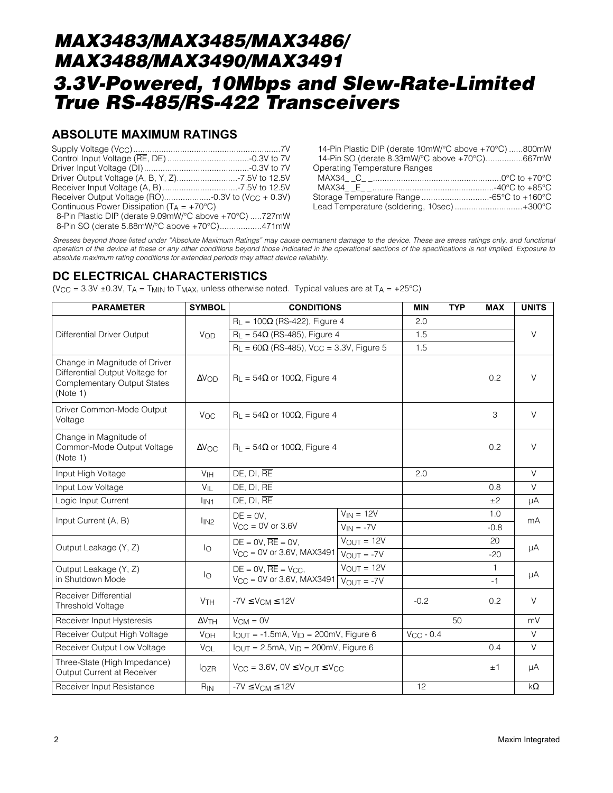#### **ABSOLUTE MAXIMUM RATINGS**

| Continuous Power Dissipation $(T_A = +70^{\circ}C)$    |  |
|--------------------------------------------------------|--|
| 8-Pin Plastic DIP (derate 9.09mW/°C above +70°C) 727mW |  |
| 8-Pin SO (derate 5.88mW/°C above +70°C)471mW           |  |

| 14-Pin Plastic DIP (derate 10mW/°C above +70°C) 800mW |  |
|-------------------------------------------------------|--|
| 14-Pin SO (derate 8.33mW/°C above +70°C)667mW         |  |
| <b>Operating Temperature Ranges</b>                   |  |
|                                                       |  |
|                                                       |  |
|                                                       |  |
| Lead Temperature (soldering, 10sec)+300°C             |  |

Stresses beyond those listed under "Absolute Maximum Ratings" may cause permanent damage to the device. These are stress ratings only, and functional operation of the device at these or any other conditions beyond those indicated in the operational sections of the specifications is not implied. Exposure to absolute maximum rating conditions for extended periods may affect device reliability.

#### **DC ELECTRICAL CHARACTERISTICS**

(V<sub>CC</sub> = 3.3V ±0.3V, T<sub>A</sub> = T<sub>MIN</sub> to T<sub>MAX</sub>, unless otherwise noted. Typical values are at T<sub>A</sub> = +25°C)

| <b>PARAMETER</b>                                                                                                   | <b>SYMBOL</b>         | <b>CONDITIONS</b>                                |                        | <b>MIN</b>     | <b>TYP</b> | <b>MAX</b>   | <b>UNITS</b> |
|--------------------------------------------------------------------------------------------------------------------|-----------------------|--------------------------------------------------|------------------------|----------------|------------|--------------|--------------|
|                                                                                                                    |                       | $R_1 = 100\Omega$ (RS-422), Figure 4             |                        | 2.0            |            |              |              |
| <b>Differential Driver Output</b>                                                                                  | V <sub>OD</sub>       | $R_L = 54\Omega$ (RS-485), Figure 4              |                        | 1.5            |            |              | $\vee$       |
|                                                                                                                    |                       | $R_L = 60\Omega$ (RS-485), Vcc = 3.3V, Figure 5  |                        | 1.5            |            |              |              |
| Change in Magnitude of Driver<br>Differential Output Voltage for<br><b>Complementary Output States</b><br>(Note 1) | $\Delta V_{OD}$       | $R_L = 54\Omega$ or 100 $\Omega$ , Figure 4      |                        |                | 0.2        | $\vee$       |              |
| Driver Common-Mode Output<br>Voltage                                                                               | Voc                   | $R_L = 54\Omega$ or 100 $\Omega$ , Figure 4      |                        |                |            | 3            | $\vee$       |
| Change in Magnitude of<br>Common-Mode Output Voltage<br>(Note 1)                                                   | $\Delta V_{\rm OC}$   | $R_1 = 54\Omega$ or 100 $\Omega$ , Figure 4      |                        |                | 0.2        | $\vee$       |              |
| Input High Voltage                                                                                                 | V <sub>IH</sub>       | DE, DI, RE                                       |                        | 2.0            |            |              | $\vee$       |
| Input Low Voltage                                                                                                  | $V_{IL}$              | DE, DI, RE                                       |                        |                |            | 0.8          | $\vee$       |
| Logic Input Current                                                                                                | l <sub>IN1</sub>      | DE, DI, RE                                       |                        |                |            | ±2           | μA           |
| Input Current (A, B)                                                                                               | $I_{IN2}$             | $DE = 0V$ .                                      | $V_{IN} = 12V$         |                |            | 1.0          | mA           |
|                                                                                                                    |                       | $V_{CC} = 0V$ or 3.6V                            | $V_{IN} = -7V$         |                |            | $-0.8$       |              |
| Output Leakage (Y, Z)                                                                                              | Ιo                    | $DE = 0V$ , $\overline{RE} = 0V$ ,               | $V_{OUT} = 12V$        |                |            | 20           | μA           |
|                                                                                                                    |                       | $V_{CC} = 0V$ or 3.6V, MAX3491                   | $V_{\text{OUT}} = -7V$ |                |            | $-20$        |              |
| Output Leakage (Y, Z)                                                                                              | lo                    | $DE = 0V$ , $RE = V_{CC}$                        | $V_{OUT} = 12V$        |                |            | $\mathbf{1}$ | μA           |
| in Shutdown Mode                                                                                                   |                       | $V_{CC} = 0V$ or 3.6V, MAX3491                   | $V_{OUT} = -7V$        |                |            | $-1$         |              |
| <b>Receiver Differential</b><br>Threshold Voltage                                                                  | <b>V<sub>TH</sub></b> | $-7V \leq V_{CM} \leq 12V$                       |                        | $-0.2$         |            | 0.2          | $\vee$       |
| Receiver Input Hysteresis                                                                                          | $\Delta V$ TH         | $V_{CM} = 0V$                                    |                        |                | 50         |              | mV           |
| Receiver Output High Voltage                                                                                       | <b>VOH</b>            | $I_{OUT} = -1.5mA$ , $V_{ID} = 200mV$ , Figure 6 |                        | $V_{CC}$ - 0.4 |            |              | $\vee$       |
| Receiver Output Low Voltage                                                                                        | VOL                   | $IOUT = 2.5mA, VID = 200mV, Figure 6$            |                        |                |            | 0.4          | $\vee$       |
| Three-State (High Impedance)<br>Output Current at Receiver                                                         | $I_{OZR}$             | $V_{CC} = 3.6V$ , $0V \leq V_{OUIT} \leq V_{CC}$ |                        |                |            | ±1           | μA           |
| Receiver Input Resistance                                                                                          | $R_{IN}$              | $-7V \leq V_{CM} \leq 12V$                       |                        | 12             |            |              | $k\Omega$    |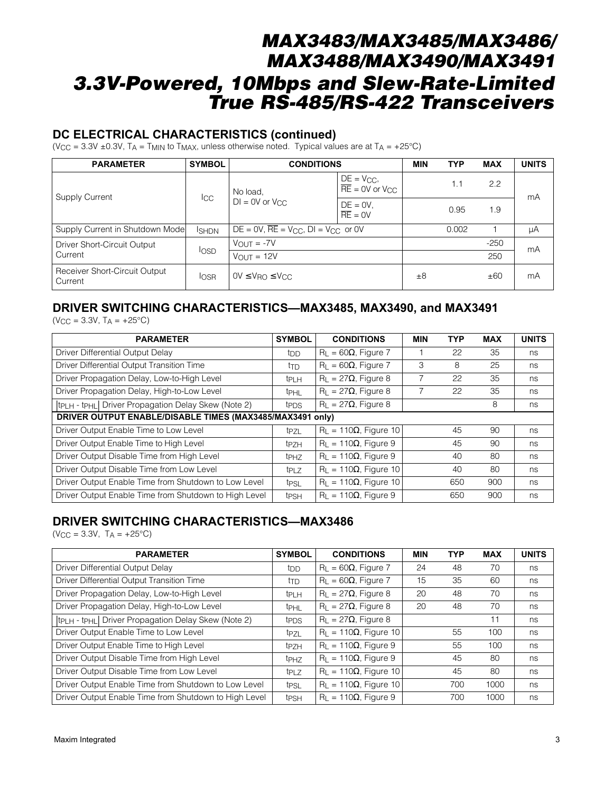#### **DC ELECTRICAL CHARACTERISTICS (continued)**

(V<sub>CC</sub> = 3.3V ± 0.3V, T<sub>A</sub> = T<sub>MIN</sub> to T<sub>MAX</sub>, unless otherwise noted. Typical values are at T<sub>A</sub> = +25°C)

| <b>PARAMETER</b>                         | <b>SYMBOL</b> | <b>CONDITIONS</b>                               |                                                          | <b>MIN</b> | <b>TYP</b> | <b>MAX</b> | <b>UNITS</b> |
|------------------------------------------|---------------|-------------------------------------------------|----------------------------------------------------------|------------|------------|------------|--------------|
| Supply Current                           | $_{\rm lcc}$  | No load,                                        | $DE = V_{CC}$<br>$\overline{RE}$ = 0V or V <sub>CC</sub> |            | 1.1        | 2.2        | mA           |
|                                          |               | $DI = OV$ or $V_{CC}$                           | $DE = 0V$ ,<br>$RE = 0V$                                 |            | 0.95       | 1.9        |              |
| Supply Current in Shutdown Mode          | <b>I</b> SHDN | $DE = 0V$ , $RE = V_{CC}$ , $DI = V_{CC}$ or 0V |                                                          | 0.002      |            | μA         |              |
| Driver Short-Circuit Output              |               | $V_{OUT} = -7V$                                 |                                                          |            |            | $-250$     | mA           |
| Current                                  | losp          | $V_{\text{OUT}} = 12V$                          |                                                          |            |            | 250        |              |
| Receiver Short-Circuit Output<br>Current | <b>IOSR</b>   | $0V \leq V_{\text{RO}} \leq V_{\text{CC}}$      |                                                          | $\pm 8$    |            | ±60        | mA           |

### **DRIVER SWITCHING CHARACTERISTICS—MAX3485, MAX3490, and MAX3491**

 $(V_{CC} = 3.3V, T_A = +25°C)$ 

| <b>PARAMETER</b>                                                             | <b>SYMBOL</b>    | <b>CONDITIONS</b>             | <b>MIN</b> | <b>TYP</b> | <b>MAX</b> | <b>UNITS</b> |
|------------------------------------------------------------------------------|------------------|-------------------------------|------------|------------|------------|--------------|
| Driver Differential Output Delay                                             | t <sub>DD</sub>  | $R_L = 60\Omega$ , Figure 7   |            | 22         | 35         | ns           |
| Driver Differential Output Transition Time                                   | ttd              | $R_L = 60\Omega$ , Figure 7   | 3          | 8          | 25         | ns           |
| Driver Propagation Delay, Low-to-High Level                                  | <b>t</b> PLH     | $R_L = 27\Omega$ , Figure 8   |            | 22         | 35         | ns           |
| Driver Propagation Delay, High-to-Low Level                                  | t <sub>PHL</sub> | $R_L = 27\Omega$ , Figure 8   |            | 22         | 35         | ns           |
| t <sub>PLH</sub> - t <sub>PHL</sub>   Driver Propagation Delay Skew (Note 2) | t <sub>PDS</sub> | $R_L = 27\Omega$ , Figure 8   |            |            | 8          | ns           |
| DRIVER OUTPUT ENABLE/DISABLE TIMES (MAX3485/MAX3491 only)                    |                  |                               |            |            |            |              |
| Driver Output Enable Time to Low Level                                       | t <sub>PZL</sub> | $R_L = 110\Omega$ , Figure 10 |            | 45         | 90         | ns           |
| Driver Output Enable Time to High Level                                      | t <sub>PZH</sub> | $R_L = 110\Omega$ , Figure 9  |            | 45         | 90         | ns           |
| Driver Output Disable Time from High Level                                   | t <sub>PHZ</sub> | $R_L = 110\Omega$ , Figure 9  |            | 40         | 80         | ns           |
| Driver Output Disable Time from Low Level                                    | t <sub>PLZ</sub> | $R_1 = 110\Omega$ , Figure 10 |            | 40         | 80         | ns           |
| Driver Output Enable Time from Shutdown to Low Level                         | t <sub>PSL</sub> | $R_L = 110\Omega$ , Figure 10 |            | 650        | 900        | ns           |
| Driver Output Enable Time from Shutdown to High Level                        | <b>t</b> PSH     | $R_1 = 110\Omega$ , Figure 9  |            | 650        | 900        | ns           |

### **DRIVER SWITCHING CHARACTERISTICS—MAX3486**

 $(V_{CC} = 3.3V, T_A = +25°C)$ 

| <b>PARAMETER</b>                                                             | <b>SYMBOL</b>    | <b>CONDITIONS</b>             | <b>MIN</b> | <b>TYP</b> | <b>MAX</b> | <b>UNITS</b> |
|------------------------------------------------------------------------------|------------------|-------------------------------|------------|------------|------------|--------------|
| Driver Differential Output Delay                                             | t <sub>DD</sub>  | $R_L = 60\Omega$ , Figure 7   | 24         | 48         | 70         | ns           |
| Driver Differential Output Transition Time                                   | ttd              | $R_L = 60\Omega$ , Figure 7   | 15         | 35         | 60         | ns           |
| Driver Propagation Delay, Low-to-High Level                                  | t <sub>PLH</sub> | $R_L = 27\Omega$ , Figure 8   | 20         | 48         | 70         | ns           |
| Driver Propagation Delay, High-to-Low Level                                  | t <sub>PHL</sub> | $R_L = 27\Omega$ , Figure 8   | 20         | 48         | 70         | ns           |
| tp <sub>LH</sub> - tp <sub>HL</sub>   Driver Propagation Delay Skew (Note 2) | t <sub>PDS</sub> | $R_L = 27\Omega$ , Figure 8   |            |            | 11         | ns           |
| Driver Output Enable Time to Low Level                                       | tpzL             | $R_L = 110\Omega$ , Figure 10 |            | 55         | 100        | ns           |
| Driver Output Enable Time to High Level                                      | t <sub>PZH</sub> | $R_L = 110\Omega$ , Figure 9  |            | 55         | 100        | ns           |
| Driver Output Disable Time from High Level                                   | <sup>t</sup> PHZ | $R_L = 110\Omega$ , Figure 9  |            | 45         | 80         | ns           |
| Driver Output Disable Time from Low Level                                    | t <sub>PLZ</sub> | $R_L = 110\Omega$ , Figure 10 |            | 45         | 80         | ns           |
| Driver Output Enable Time from Shutdown to Low Level                         | t <sub>PSL</sub> | $R_L = 110\Omega$ , Figure 10 |            | 700        | 1000       | ns           |
| Driver Output Enable Time from Shutdown to High Level                        | <b>t</b> PSH     | $R_L = 110\Omega$ , Figure 9  |            | 700        | 1000       | ns           |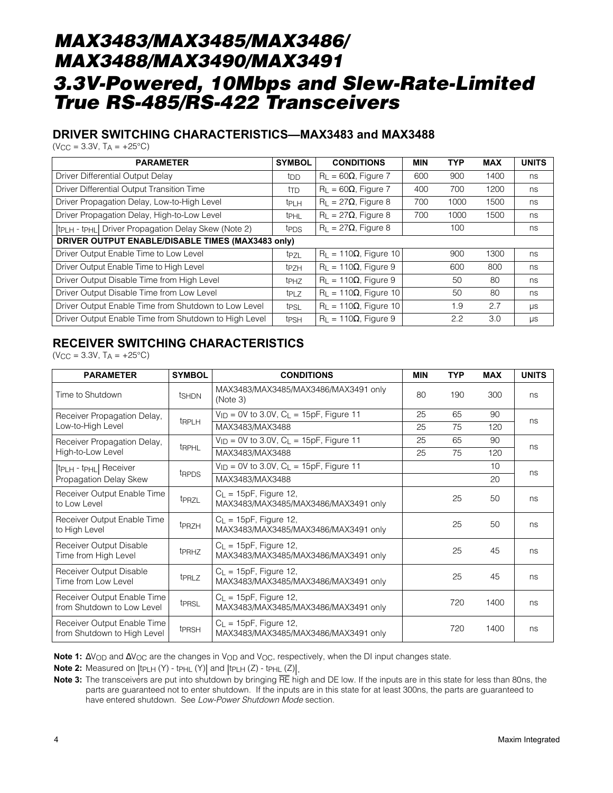### **DRIVER SWITCHING CHARACTERISTICS—MAX3483 and MAX3488**

 $(V_{CC} = 3.3V, T_A = +25°C)$ 

| <b>PARAMETER</b>                                                             | <b>SYMBOL</b>    | <b>CONDITIONS</b>             | <b>MIN</b> | <b>TYP</b> | <b>MAX</b> | <b>UNITS</b> |
|------------------------------------------------------------------------------|------------------|-------------------------------|------------|------------|------------|--------------|
| Driver Differential Output Delay                                             | tdd              | $R_L = 60\Omega$ , Figure 7   | 600        | 900        | 1400       | ns           |
| Driver Differential Output Transition Time                                   | ttd              | $R_L = 60\Omega$ , Figure 7   | 400        | 700        | 1200       | ns           |
| Driver Propagation Delay, Low-to-High Level                                  | <b>t</b> PLH     | $R_L = 27\Omega$ , Figure 8   | 700        | 1000       | 1500       | ns           |
| Driver Propagation Delay, High-to-Low Level                                  | t <sub>PHL</sub> | $R_L = 27\Omega$ , Figure 8   | 700        | 1000       | 1500       | ns           |
| tp <sub>LH</sub> - tp <sub>HL</sub>   Driver Propagation Delay Skew (Note 2) | t <sub>PDS</sub> | $R_1 = 27\Omega$ , Figure 8   |            | 100        |            | ns           |
| DRIVER OUTPUT ENABLE/DISABLE TIMES (MAX3483 only)                            |                  |                               |            |            |            |              |
| Driver Output Enable Time to Low Level                                       | t <sub>PZL</sub> | $R_1 = 110\Omega$ , Figure 10 |            | 900        | 1300       | ns           |
| Driver Output Enable Time to High Level                                      | t <sub>PZH</sub> | $R_1 = 110\Omega$ , Figure 9  |            | 600        | 800        | ns           |
| Driver Output Disable Time from High Level                                   | t <sub>PHZ</sub> | $R_L = 110\Omega$ , Figure 9  |            | 50         | 80         | ns           |
| Driver Output Disable Time from Low Level                                    | t <sub>PLZ</sub> | $R_1 = 110\Omega$ , Figure 10 |            | 50         | 80         | ns           |
| Driver Output Enable Time from Shutdown to Low Level                         | t <sub>PSL</sub> | $R_L = 110\Omega$ , Figure 10 |            | 1.9        | 2.7        | $\mu s$      |
| Driver Output Enable Time from Shutdown to High Level                        | <b>t</b> PSH     | $R_1 = 110\Omega$ , Figure 9  |            | 2.2        | 3.0        | $\mu s$      |

## **RECEIVER SWITCHING CHARACTERISTICS**

 $(V_{CC} = 3.3V, T_A = +25°C)$ 

| <b>PARAMETER</b>                                           | <b>SYMBOL</b>     | <b>CONDITIONS</b>                                                  | <b>MIN</b> | <b>TYP</b> | <b>MAX</b>      | <b>UNITS</b> |
|------------------------------------------------------------|-------------------|--------------------------------------------------------------------|------------|------------|-----------------|--------------|
| Time to Shutdown                                           | tshDN             | MAX3483/MAX3485/MAX3486/MAX3491 only<br>(Note 3)                   | 80         | 190        | 300             | ns           |
| Receiver Propagation Delay,                                | <b>tRPLH</b>      | $V_{\text{ID}} = 0V$ to 3.0V, C <sub>1</sub> = 15pF, Figure 11     | 25         | 65         | 90              | ns           |
| Low-to-High Level                                          |                   | MAX3483/MAX3488                                                    | 25         | 75         | 120             |              |
| Receiver Propagation Delay,                                | tRPHL             | $V_{ID} = 0V$ to 3.0V, $C_L = 15pF$ , Figure 11                    | 25         | 65         | 90              | ns           |
| High-to-Low Level                                          |                   | MAX3483/MAX3488                                                    | 25         | 75         | 120             |              |
| tPLH - tPHL Receiver                                       | t <sub>RPDS</sub> | $V_{ID}$ = 0V to 3.0V, $C_L$ = 15pF, Figure 11                     |            |            | 10 <sup>1</sup> | ns           |
| Propagation Delay Skew                                     |                   | MAX3483/MAX3488                                                    |            |            | 20              |              |
| Receiver Output Enable Time<br>to Low Level                | t <sub>PRZL</sub> | $C_1 = 15pF$ , Figure 12,<br>MAX3483/MAX3485/MAX3486/MAX3491 only  |            | 25         | 50              | ns           |
| Receiver Output Enable Time<br>to High Level               | t <sub>PRZH</sub> | $C_{L}$ = 15pF, Figure 12,<br>MAX3483/MAX3485/MAX3486/MAX3491 only |            | 25         | 50              | ns           |
| Receiver Output Disable<br>Time from High Level            | t <sub>PRHZ</sub> | $C_{L}$ = 15pF, Figure 12,<br>MAX3483/MAX3485/MAX3486/MAX3491 only |            | 25         | 45              | ns           |
| Receiver Output Disable<br>Time from Low Level             | <b>t</b> PRLZ     | $C_L$ = 15pF, Figure 12,<br>MAX3483/MAX3485/MAX3486/MAX3491 only   |            | 25         | 45              | ns           |
| Receiver Output Enable Time<br>from Shutdown to Low Level  | t <sub>PRSL</sub> | $C_{L}$ = 15pF, Figure 12,<br>MAX3483/MAX3485/MAX3486/MAX3491 only |            | 720        | 1400            | ns           |
| Receiver Output Enable Time<br>from Shutdown to High Level | t <sub>PRSH</sub> | $C_{L}$ = 15pF, Figure 12,<br>MAX3483/MAX3485/MAX3486/MAX3491 only |            | 720        | 1400            | ns           |

Note 1: ∆V<sub>OD</sub> and ∆V<sub>OC</sub> are the changes in V<sub>OD</sub> and V<sub>OC</sub>, respectively, when the DI input changes state.

**Note 2:** Measured on  $|t_{\text{PLH}} (Y) - t_{\text{PHL}} (Y)|$  and  $|t_{\text{PLH}} (Z) - t_{\text{PHL}} (Z)|$ .

**Note 3:** The transceivers are put into shutdown by bringing RE high and DE low. If the inputs are in this state for less than 80ns, the parts are guaranteed not to enter shutdown. If the inputs are in this state for at least 300ns, the parts are guaranteed to have entered shutdown. See Low-Power Shutdown Mode section.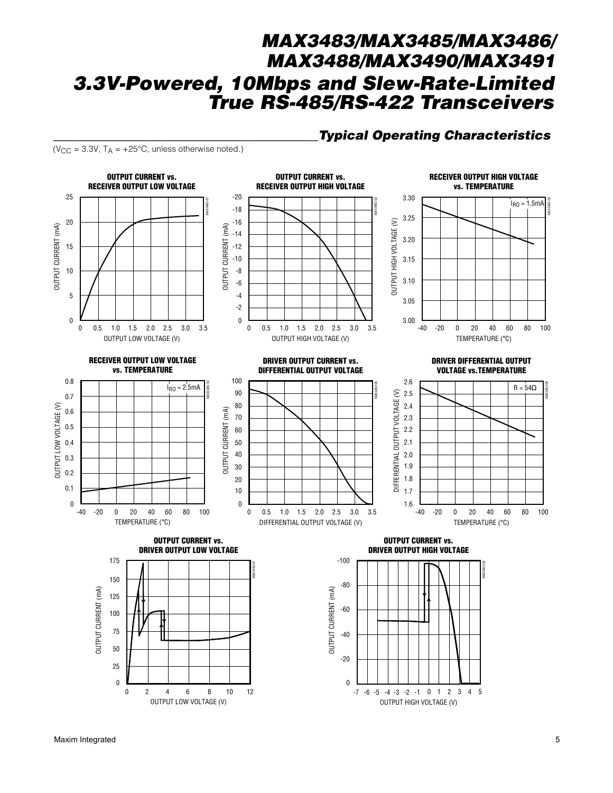**Typical Operating Characteristics** 

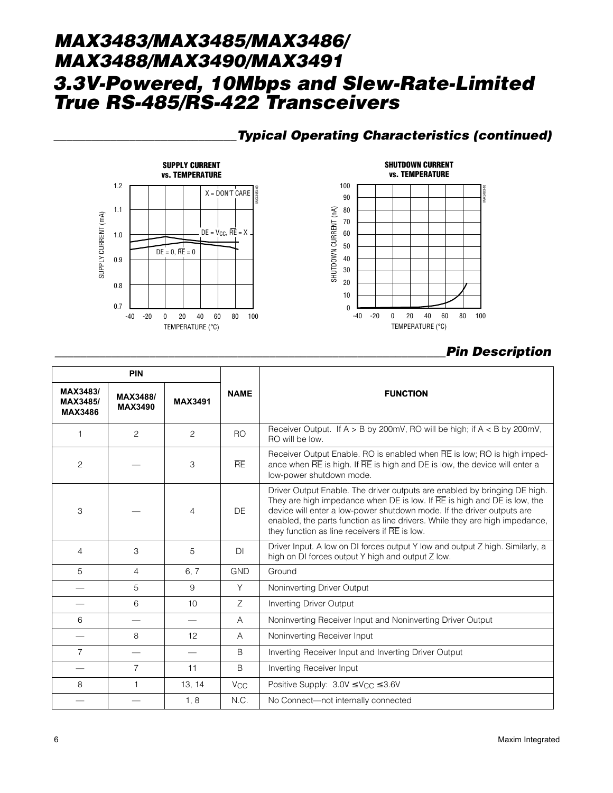## \_\_\_\_\_\_\_\_\_\_\_\_\_\_\_\_\_\_\_\_\_\_\_\_\_\_\_\_\_Typical Operating Characteristics (continued)





## \_\_\_\_\_\_\_\_\_\_\_\_\_\_\_\_\_\_\_\_\_\_\_\_\_\_\_\_\_\_\_\_\_\_\_\_\_\_\_\_\_\_\_\_\_\_\_\_\_\_\_\_\_\_\_\_\_\_\_\_\_\_Pin Description

| <b>PIN</b><br>MAX3483/     |                            |                |                       |                                                                                                                                                                                                                                                                                                                                                                                  |  |
|----------------------------|----------------------------|----------------|-----------------------|----------------------------------------------------------------------------------------------------------------------------------------------------------------------------------------------------------------------------------------------------------------------------------------------------------------------------------------------------------------------------------|--|
| MAX3485/<br><b>MAX3486</b> | MAX3488/<br><b>MAX3490</b> | <b>MAX3491</b> | <b>NAME</b>           | <b>FUNCTION</b>                                                                                                                                                                                                                                                                                                                                                                  |  |
| $\mathbf{1}$               | $\overline{a}$             | $\mathcal{P}$  | R <sub>O</sub>        | Receiver Output. If $A > B$ by 200mV, RO will be high; if $A < B$ by 200mV,<br>RO will be low.                                                                                                                                                                                                                                                                                   |  |
| 2                          |                            | 3              | <b>RE</b>             | Receiver Output Enable. RO is enabled when RE is low; RO is high imped-<br>ance when RE is high. If RE is high and DE is low, the device will enter a<br>low-power shutdown mode.                                                                                                                                                                                                |  |
| 3                          |                            | $\overline{4}$ | <b>DE</b>             | Driver Output Enable. The driver outputs are enabled by bringing DE high.<br>They are high impedance when $DE$ is low. If $\overline{RE}$ is high and $DE$ is low, the<br>device will enter a low-power shutdown mode. If the driver outputs are<br>enabled, the parts function as line drivers. While they are high impedance,<br>they function as line receivers if RE is low. |  |
| 4                          | 3                          | 5              | DI                    | Driver Input. A low on DI forces output Y low and output Z high. Similarly, a<br>high on DI forces output Y high and output Z low.                                                                                                                                                                                                                                               |  |
| 5                          | 4                          | 6, 7           | <b>GND</b>            | Ground                                                                                                                                                                                                                                                                                                                                                                           |  |
|                            | 5                          | 9              | Y                     | Noninverting Driver Output                                                                                                                                                                                                                                                                                                                                                       |  |
|                            | 6                          | 10             | Ζ                     | <b>Inverting Driver Output</b>                                                                                                                                                                                                                                                                                                                                                   |  |
| 6                          |                            |                | A                     | Noninverting Receiver Input and Noninverting Driver Output                                                                                                                                                                                                                                                                                                                       |  |
|                            | 8                          | 12             | A                     | Noninverting Receiver Input                                                                                                                                                                                                                                                                                                                                                      |  |
| 7                          |                            |                | B                     | Inverting Receiver Input and Inverting Driver Output                                                                                                                                                                                                                                                                                                                             |  |
|                            | $\overline{7}$             | 11             | B                     | Inverting Receiver Input                                                                                                                                                                                                                                                                                                                                                         |  |
| 8                          | 1                          | 13, 14         | <b>V<sub>CC</sub></b> | Positive Supply: $3.0V \leq V_{CC} \leq 3.6V$                                                                                                                                                                                                                                                                                                                                    |  |
|                            |                            | 1, 8           | N.C.                  | No Connect-not internally connected                                                                                                                                                                                                                                                                                                                                              |  |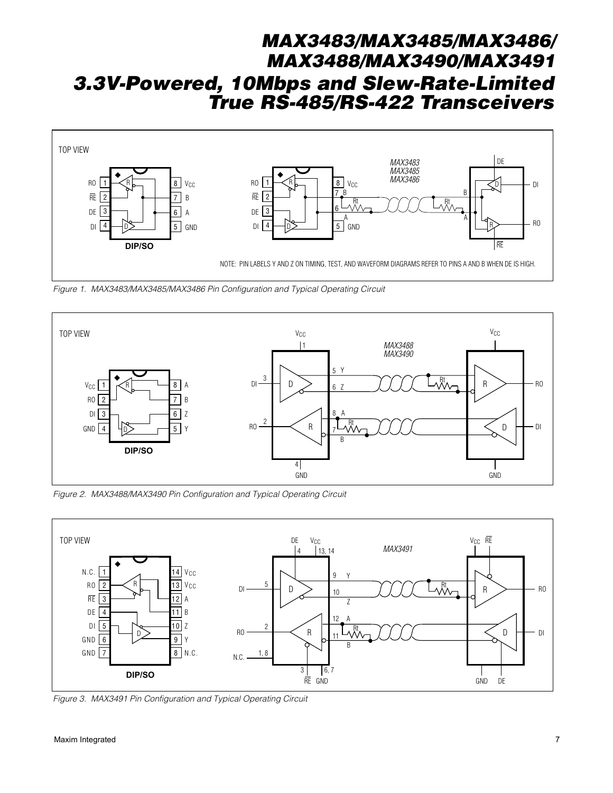

Figure 1. MAX3483/MAX3485/MAX3486 Pin Configuration and Typical Operating Circuit



Figure 2. MAX3488/MAX3490 Pin Configuration and Typical Operating Circuit



Figure 3. MAX3491 Pin Configuration and Typical Operating Circuit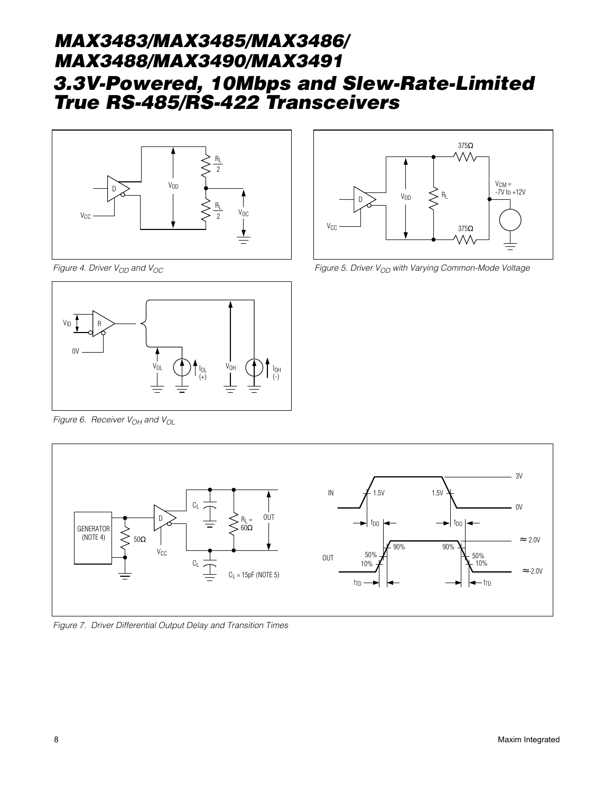

375Ω ΛΛ V<sub>CM</sub> =<br>-7V to +12V  $\sum$  V<sub>OD</sub> V<sub>CC</sub> 375Ω

Figure 4. Driver  $V_{OD}$  and  $V_{OC}$ 



Figure 6. Receiver  $V_{OH}$  and  $V_{OL}$ 



Figure 5. Driver  $V_{OD}$  with Varying Common-Mode Voltage



Figure 7. Driver Differential Output Delay and Transition Times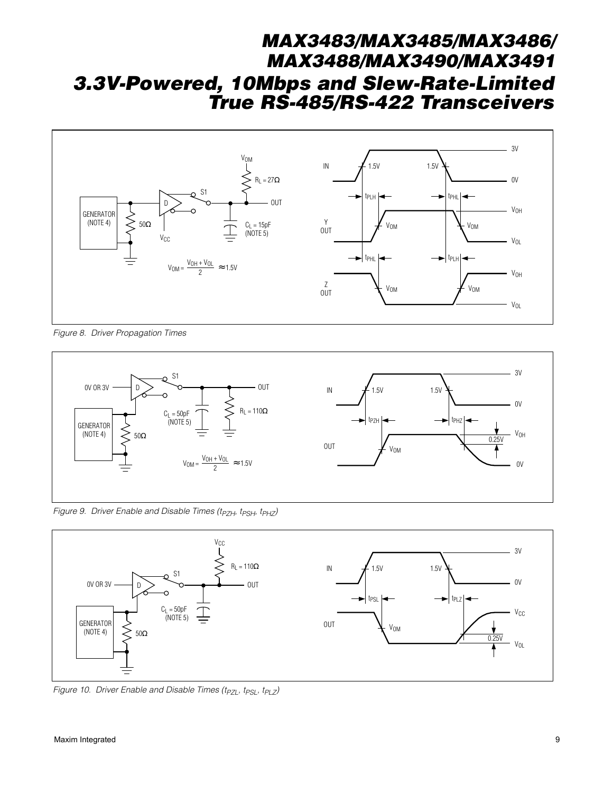

Figure 8. Driver Propagation Times



Figure 9. Driver Enable and Disable Times (t<sub>PZH</sub>, t<sub>PSH</sub>, t<sub>PHZ</sub>)

![](_page_8_Figure_5.jpeg)

Figure 10. Driver Enable and Disable Times (t<sub>PZL</sub>, t<sub>PSL</sub>, t<sub>PLZ</sub>)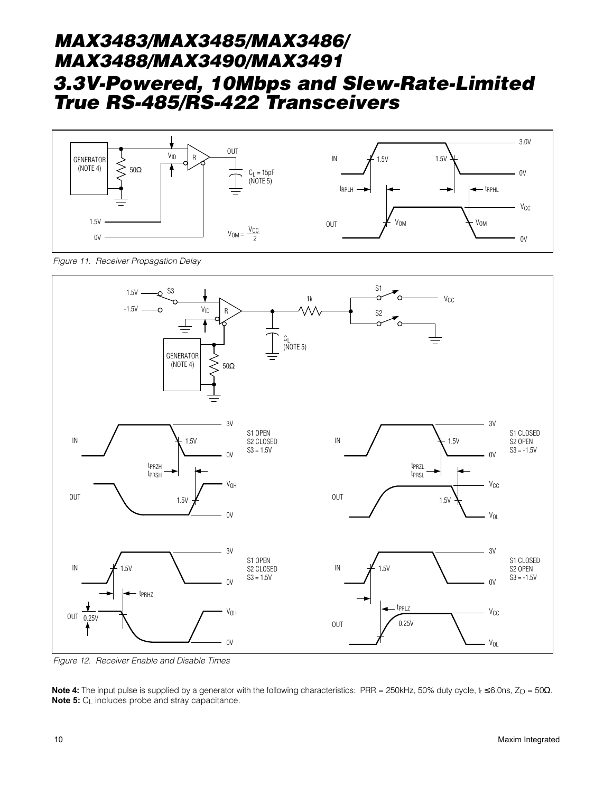![](_page_9_Figure_1.jpeg)

Figure 11. Receiver Propagation Delay

![](_page_9_Figure_3.jpeg)

Figure 12. Receiver Enable and Disable Times

**Note 4:** The input pulse is supplied by a generator with the following characteristics: PRR = 250kHz, 50% duty cycle, t ≤ 6.0ns, Z<sub>O</sub> = 50Ω. **Note 5:**  $C_{\text{L}}$  includes probe and stray capacitance.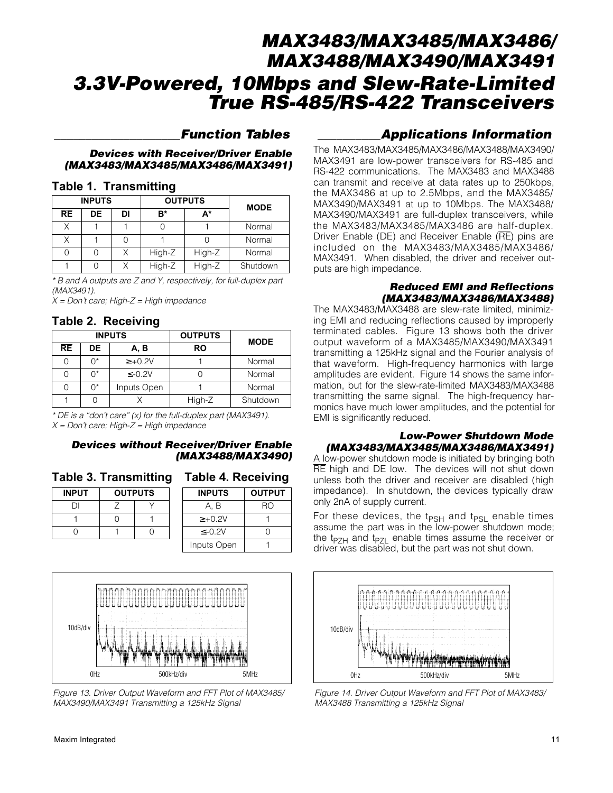#### \_\_\_\_\_\_\_\_\_\_\_\_\_\_\_\_\_\_\_\_Function Tables

#### Devices with Receiver/Driver Enable (MAX3483/MAX3485/MAX3486/MAX3491)

#### **Table 1. Transmitting**

|           | <b>INPUTS</b> |    |        | <b>OUTPUTS</b> | <b>MODE</b> |
|-----------|---------------|----|--------|----------------|-------------|
| <b>RE</b> | DE            | DI | в*     | A*             |             |
| Χ         |               |    |        |                | Normal      |
|           |               |    |        |                | Normal      |
|           |               |    | High-Z | High-Z         | Normal      |
|           |               |    | High-Z | High-Z         | Shutdown    |

\* B and A outputs are Z and Y, respectively, for full-duplex part (MAX3491).

 $X = Don't care; High-Z = High impedance$ 

#### **Table 2. Receiving**

| <b>INPUTS</b> |    | <b>OUTPUTS</b> | <b>MODE</b> |          |
|---------------|----|----------------|-------------|----------|
| RE            | DE | A, B           | RO          |          |
|               | ∩* | $\ge +0.2V$    |             | Normal   |
|               | ∩* | $\leq -0.2V$   |             | Normal   |
|               | ∩* | Inputs Open    |             | Normal   |
|               |    |                | High-Z      | Shutdown |

\* DE is a "don't care" (x) for the full-duplex part (MAX3491).  $X = Don't care; High-Z = High impedance$ 

#### Devices without Receiver/Driver Enable (MAX3488/MAX3490)

|  |  | Table 3. Transmitting Table 4. Receiving |  |  |  |
|--|--|------------------------------------------|--|--|--|
|--|--|------------------------------------------|--|--|--|

| <b>INPUT</b> | <b>OUTPUTS</b> |  |
|--------------|----------------|--|
| וו           |                |  |
|              |                |  |
|              |                |  |

| Table 4. Receiving |               |  |
|--------------------|---------------|--|
| <b>INPUTS</b>      | <b>OUTPUT</b> |  |
| A. B               | RO            |  |
| $\ge +0.2V$        |               |  |
| <-∩ 2V             |               |  |

Inputs Open 1

0Hz 500kHz/div 500kHz/div 10dB/div

Figure 13. Driver Output Waveform and FFT Plot of MAX3485/ MAX3490/MAX3491 Transmitting a 125kHz Signal

The MAX3483/MAX3485/MAX3486/MAX3488/MAX3490/ MAX3491 are low-power transceivers for RS-485 and RS-422 communications. The MAX3483 and MAX3488 can transmit and receive at data rates up to 250kbps, the MAX3486 at up to 2.5Mbps, and the MAX3485/ MAX3490/MAX3491 at up to 10Mbps. The MAX3488/ MAX3490/MAX3491 are full-duplex transceivers, while the MAX3483/MAX3485/MAX3486 are half-duplex. Driver Enable (DE) and Receiver Enable (RE) pins are included on the MAX3483/MAX3485/MAX3486/ MAX3491. When disabled, the driver and receiver outputs are high impedance.

#### Reduced EMI and Reflections (MAX3483/MAX3486/MAX3488)

The MAX3483/MAX3488 are slew-rate limited, minimizing EMI and reducing reflections caused by improperly terminated cables. Figure 13 shows both the driver output waveform of a MAX3485/MAX3490/MAX3491 transmitting a 125kHz signal and the Fourier analysis of that waveform. High-frequency harmonics with large amplitudes are evident. Figure 14 shows the same information, but for the slew-rate-limited MAX3483/MAX3488 transmitting the same signal. The high-frequency harmonics have much lower amplitudes, and the potential for EMI is significantly reduced.

#### Low-Power Shutdown Mode (MAX3483/MAX3485/MAX3486/MAX3491)

A low-power shutdown mode is initiated by bringing both RE high and DE low. The devices will not shut down unless both the driver and receiver are disabled (high impedance). In shutdown, the devices typically draw only 2nA of supply current.

For these devices, the t<sub>PSH</sub> and t<sub>PSL</sub> enable times assume the part was in the low-power shutdown mode; the t<sub>PZH</sub> and t<sub>PZL</sub> enable times assume the receiver or driver was disabled, but the part was not shut down.

![](_page_10_Figure_23.jpeg)

Figure 14. Driver Output Waveform and FFT Plot of MAX3483/ MAX3488 Transmitting a 125kHz Signal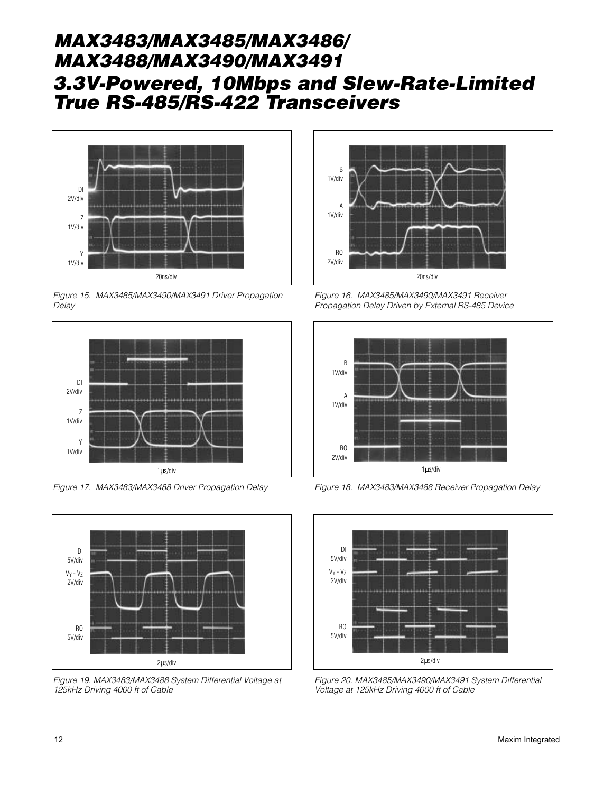![](_page_11_Figure_1.jpeg)

Figure 15. MAX3485/MAX3490/MAX3491 Driver Propagation Delay

![](_page_11_Figure_3.jpeg)

Figure 17. MAX3483/MAX3488 Driver Propagation Delay

![](_page_11_Figure_5.jpeg)

Figure 19. MAX3483/MAX3488 System Differential Voltage at 125kHz Driving 4000 ft of Cable

![](_page_11_Figure_7.jpeg)

Figure 16. MAX3485/MAX3490/MAX3491 Receiver Propagation Delay Driven by External RS-485 Device

![](_page_11_Figure_9.jpeg)

Figure 18. MAX3483/MAX3488 Receiver Propagation Delay

![](_page_11_Figure_11.jpeg)

Figure 20. MAX3485/MAX3490/MAX3491 System Differential Voltage at 125kHz Driving 4000 ft of Cable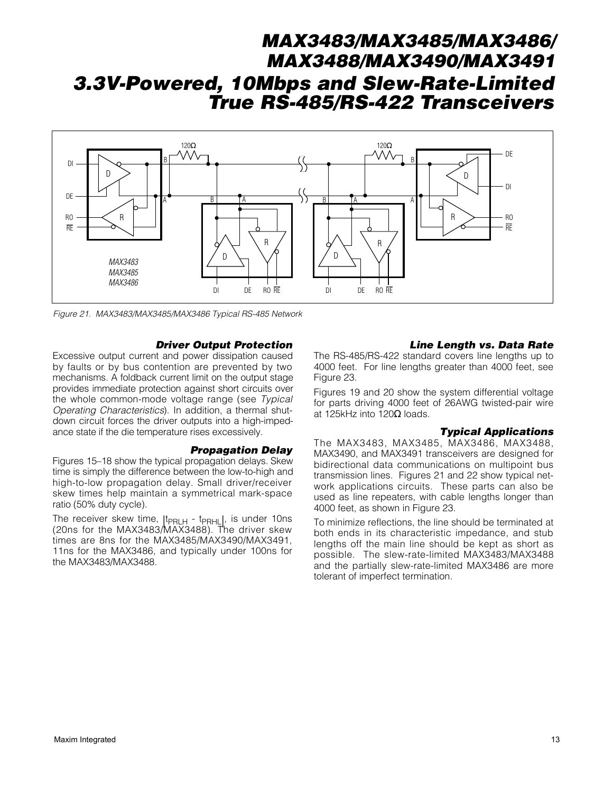![](_page_12_Figure_1.jpeg)

Figure 21. MAX3483/MAX3485/MAX3486 Typical RS-485 Network

#### Driver Output Protection

Excessive output current and power dissipation caused by faults or by bus contention are prevented by two mechanisms. A foldback current limit on the output stage provides immediate protection against short circuits over the whole common-mode voltage range (see Typical Operating Characteristics). In addition, a thermal shutdown circuit forces the driver outputs into a high-impedance state if the die temperature rises excessively.

#### Propagation Delay

Figures 15–18 show the typical propagation delays. Skew time is simply the difference between the low-to-high and high-to-low propagation delay. Small driver/receiver skew times help maintain a symmetrical mark-space ratio (50% duty cycle).

The receiver skew time,  $|t_{\text{PRLH}} - t_{\text{PRHL}}|$ , is under 10ns (20ns for the MAX3483/MAX3488). The driver skew times are 8ns for the MAX3485/MAX3490/MAX3491, 11ns for the MAX3486, and typically under 100ns for the MAX3483/MAX3488.

#### Line Length vs. Data Rate

The RS-485/RS-422 standard covers line lengths up to 4000 feet. For line lengths greater than 4000 feet, see Figure 23.

Figures 19 and 20 show the system differential voltage for parts driving 4000 feet of 26AWG twisted-pair wire at 125kHz into 120Ω loads.

#### Typical Applications

The MAX3483, MAX3485, MAX3486, MAX3488, MAX3490, and MAX3491 transceivers are designed for bidirectional data communications on multipoint bus transmission lines. Figures 21 and 22 show typical network applications circuits. These parts can also be used as line repeaters, with cable lengths longer than 4000 feet, as shown in Figure 23.

To minimize reflections, the line should be terminated at both ends in its characteristic impedance, and stub lengths off the main line should be kept as short as possible. The slew-rate-limited MAX3483/MAX3488 and the partially slew-rate-limited MAX3486 are more tolerant of imperfect termination.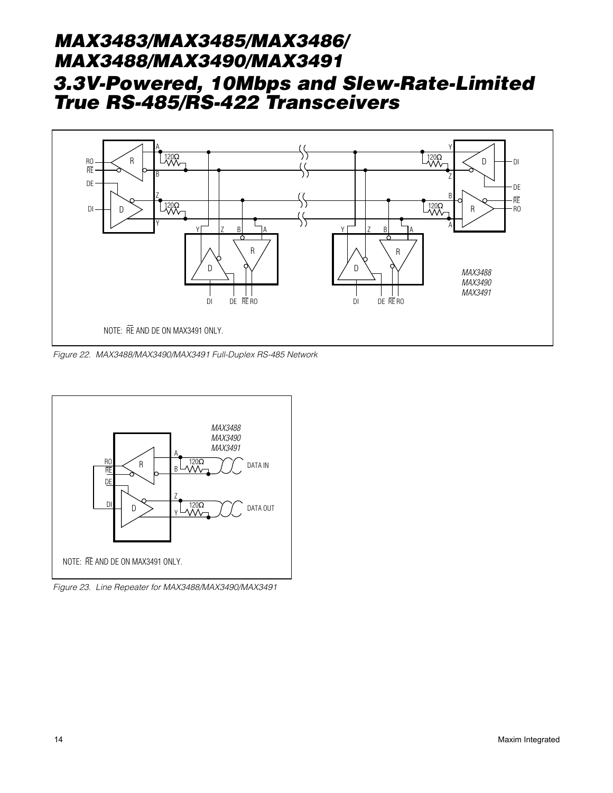![](_page_13_Figure_1.jpeg)

Figure 22. MAX3488/MAX3490/MAX3491 Full-Duplex RS-485 Network

![](_page_13_Figure_3.jpeg)

Figure 23. Line Repeater for MAX3488/MAX3490/MAX3491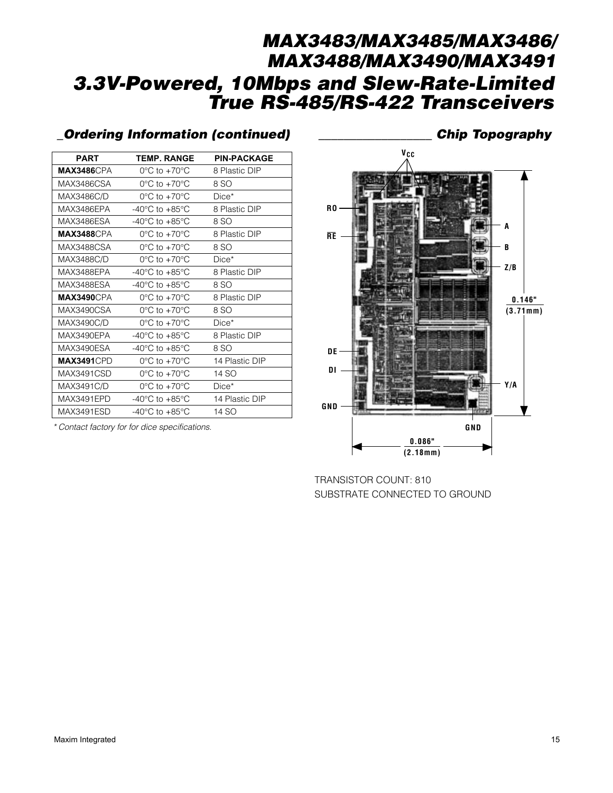# MAX3483/MAX3485/MAX3486/ MAX3488/MAX3490/MAX3491 3.3V-Powered, 10Mbps and Slew-Rate-Limited True RS-485/RS-422 Transceivers

## \_Ordering Information (continued) \_\_\_\_\_\_\_\_\_\_\_\_\_\_\_\_\_\_ Chip Topography

| <b>PART</b>        | <b>TEMP. RANGE</b>                 | <b>PIN-PACKAGE</b> |
|--------------------|------------------------------------|--------------------|
| <b>MAX3486</b> CPA | $0^{\circ}$ C to $+70^{\circ}$ C   | 8 Plastic DIP      |
| MAX3486CSA         | $0^{\circ}$ C to +70 $^{\circ}$ C  | 8 SO               |
| MAX3486C/D         | $0^{\circ}$ C to +70 $^{\circ}$ C  | $Dice*$            |
| MAX3486EPA         | $-40^{\circ}$ C to $+85^{\circ}$ C | 8 Plastic DIP      |
| MAX3486ESA         | $-40^{\circ}$ C to $+85^{\circ}$ C | 8 SO               |
| <b>MAX3488CPA</b>  | $0^{\circ}$ C to +70 $^{\circ}$ C  | 8 Plastic DIP      |
| MAX3488CSA         | $0^{\circ}$ C to +70 $^{\circ}$ C  | 8 SO               |
| MAX3488C/D         | $0^{\circ}$ C to $+70^{\circ}$ C   | $Dice*$            |
| MAX3488EPA         | $-40^{\circ}$ C to $+85^{\circ}$ C | 8 Plastic DIP      |
| MAX3488ESA         | $-40^{\circ}$ C to $+85^{\circ}$ C | 8 SO               |
| <b>MAX3490</b> CPA | $0^{\circ}$ C to +70 $^{\circ}$ C  | 8 Plastic DIP      |
| MAX3490CSA         | $0^{\circ}$ C to $+70^{\circ}$ C   | 8 SO               |
| MAX3490C/D         | $0^{\circ}$ C to $+70^{\circ}$ C   | $Dice*$            |
| MAX3490EPA         | $-40^{\circ}$ C to $+85^{\circ}$ C | 8 Plastic DIP      |
| MAX3490ESA         | $-40^{\circ}$ C to $+85^{\circ}$ C | 8 SO               |
| <b>MAX3491CPD</b>  | $0^{\circ}$ C to $+70^{\circ}$ C   | 14 Plastic DIP     |
| MAX3491CSD         | $0^{\circ}$ C to $+70^{\circ}$ C   | 14 SO              |
| MAX3491C/D         | $0^{\circ}$ C to $+70^{\circ}$ C   | $Dice*$            |
| MAX3491EPD         | $-40^{\circ}$ C to $+85^{\circ}$ C | 14 Plastic DIP     |
| MAX3491ESD         | $-40^{\circ}$ C to $+85^{\circ}$ C | 14 SO              |

\* Contact factory for for dice specifications.

![](_page_14_Figure_4.jpeg)

TRANSISTOR COUNT: 810 SUBSTRATE CONNECTED TO GROUND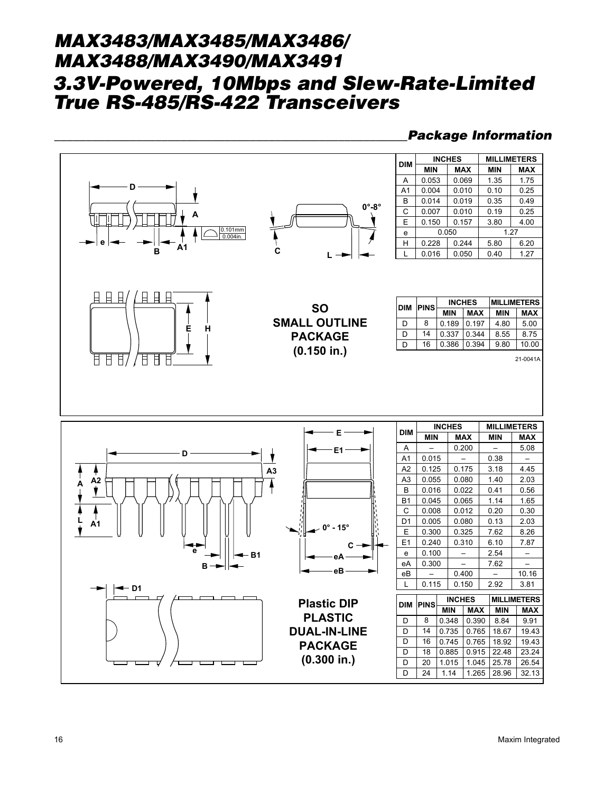#### Package Information

![](_page_15_Figure_2.jpeg)